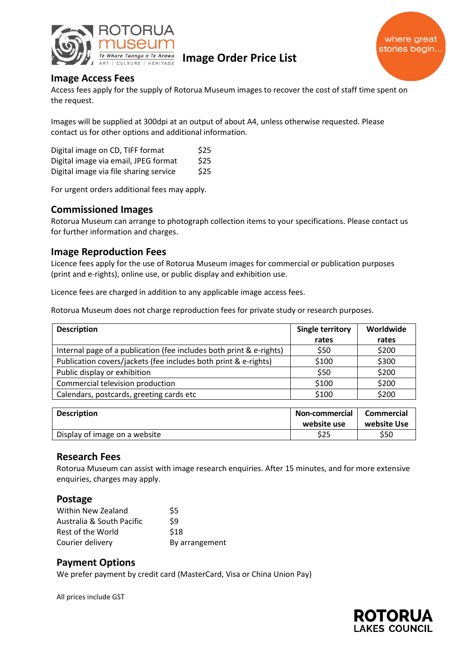

Te Whare Taonga o Te Arawa<br>ART LOUITURE LHERITAGE **IMAGE Order Price List** 



# **Image Access Fees**

Access fees apply for the supply of Rotorua Museum images to recover the cost of staff time spent on the request.

Images will be supplied at 300dpi at an output of about A4, unless otherwise requested. Please contact us for other options and additional information.

| Digital image on CD, TIFF format       | \$25 |
|----------------------------------------|------|
| Digital image via email, JPEG format   | \$25 |
| Digital image via file sharing service | \$25 |

For urgent orders additional fees may apply.

# **Commissioned Images**

Rotorua Museum can arrange to photograph collection items to your specifications. Please contact us for further information and charges.

# **Image Reproduction Fees**

Licence fees apply for the use of Rotorua Museum images for commercial or publication purposes (print and e-rights), online use, or public display and exhibition use.

Licence fees are charged in addition to any applicable image access fees.

Rotorua Museum does not charge reproduction fees for private study or research purposes.

| <b>Description</b>                                                  | Single territory | Worldwide |
|---------------------------------------------------------------------|------------------|-----------|
|                                                                     | rates            | rates     |
| Internal page of a publication (fee includes both print & e-rights) | \$50             | \$200     |
| Publication covers/jackets (fee includes both print & e-rights)     | \$100            | \$300     |
| Public display or exhibition                                        | \$50             | \$200     |
| Commercial television production                                    | \$100            | \$200     |
| Calendars, postcards, greeting cards etc                            | \$100            | \$200     |

| <b>Description</b>            | <b>Non-commercial</b><br>website use | <b>Commercial</b><br>website Use |
|-------------------------------|--------------------------------------|----------------------------------|
| Display of image on a website | \$25                                 | \$50                             |

#### **Research Fees**

Rotorua Museum can assist with image research enquiries. After 15 minutes, and for more extensive enquiries, charges may apply.

#### **Postage**

| Within New Zealand        | S5             |
|---------------------------|----------------|
| Australia & South Pacific | \$9            |
| Rest of the World         | \$18           |
| Courier delivery          | By arrangement |

#### **Payment Options**

We prefer payment by credit card (MasterCard, Visa or China Union Pay)

All prices include GST